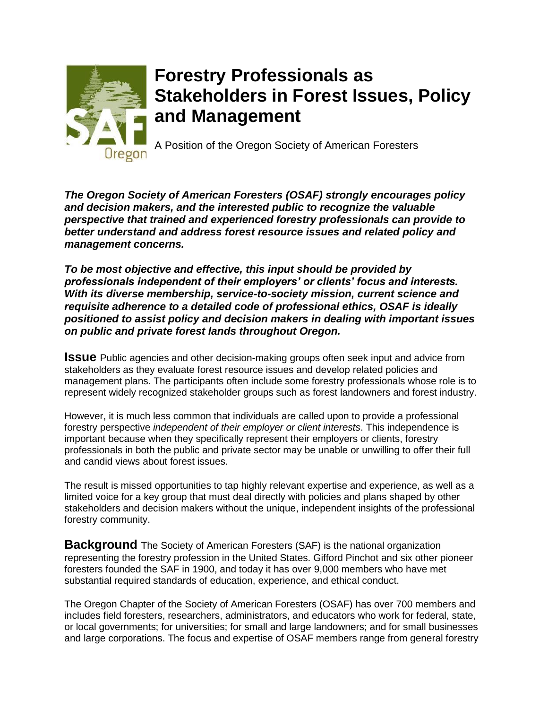

## **Forestry Professionals as Stakeholders in Forest Issues, Policy and Management**

A Position of the Oregon Society of American Foresters

*The Oregon Society of American Foresters (OSAF) strongly encourages policy and decision makers, and the interested public to recognize the valuable perspective that trained and experienced forestry professionals can provide to better understand and address forest resource issues and related policy and management concerns.* 

*To be most objective and effective, this input should be provided by professionals independent of their employers' or clients' focus and interests. With its diverse membership, service-to-society mission, current science and requisite adherence to a detailed code of professional ethics, OSAF is ideally positioned to assist policy and decision makers in dealing with important issues on public and private forest lands throughout Oregon.* 

**ISSUE** Public agencies and other decision-making groups often seek input and advice from stakeholders as they evaluate forest resource issues and develop related policies and management plans. The participants often include some forestry professionals whose role is to represent widely recognized stakeholder groups such as forest landowners and forest industry.

However, it is much less common that individuals are called upon to provide a professional forestry perspective *independent of their employer or client interests*. This independence is important because when they specifically represent their employers or clients, forestry professionals in both the public and private sector may be unable or unwilling to offer their full and candid views about forest issues.

The result is missed opportunities to tap highly relevant expertise and experience, as well as a limited voice for a key group that must deal directly with policies and plans shaped by other stakeholders and decision makers without the unique, independent insights of the professional forestry community.

**Background** The Society of American Foresters (SAF) is the national organization representing the forestry profession in the United States. Gifford Pinchot and six other pioneer foresters founded the SAF in 1900, and today it has over 9,000 members who have met substantial required standards of education, experience, and ethical conduct.

The Oregon Chapter of the Society of American Foresters (OSAF) has over 700 members and includes field foresters, researchers, administrators, and educators who work for federal, state, or local governments; for universities; for small and large landowners; and for small businesses and large corporations. The focus and expertise of OSAF members range from general forestry